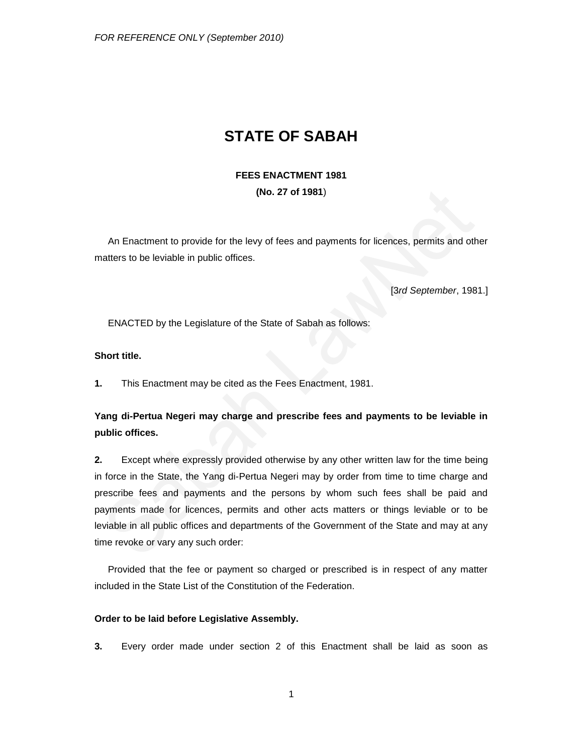# **STATE OF SABAH**

## **FEES ENACTMENT 1981 (No. 27 of 1981**)

An Enactment to provide for the levy of fees and payments for licences, permits and other matters to be leviable in public offices.

[3*rd September*, 1981.]

ENACTED by the Legislature of the State of Sabah as follows:

### **Short title.**

**1.** This Enactment may be cited as the Fees Enactment, 1981.

# **Yang di-Pertua Negeri may charge and prescribe fees and payments to be leviable in public offices.**

**2.** Except where expressly provided otherwise by any other written law for the time being in force in the State, the Yang di-Pertua Negeri may by order from time to time charge and prescribe fees and payments and the persons by whom such fees shall be paid and payments made for licences, permits and other acts matters or things leviable or to be leviable in all public offices and departments of the Government of the State and may at any time revoke or vary any such order:

Provided that the fee or payment so charged or prescribed is in respect of any matter included in the State List of the Constitution of the Federation.

#### **Order to be laid before Legislative Assembly.**

**3.** Every order made under section 2 of this Enactment shall be laid as soon as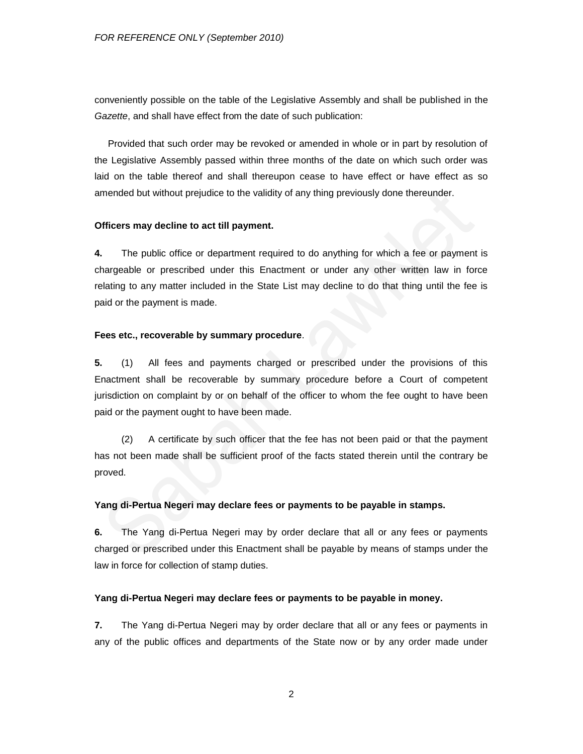conveniently possible on the table of the Legislative Assembly and shall be published in the *Gazette*, and shall have effect from the date of such publication:

Provided that such order may be revoked or amended in whole or in part by resolution of the Legislative Assembly passed within three months of the date on which such order was laid on the table thereof and shall thereupon cease to have effect or have effect as so amended but without prejudice to the validity of any thing previously done thereunder.

#### **Officers may decline to act till payment.**

**4.** The public office or department required to do anything for which a fee or payment is chargeable or prescribed under this Enactment or under any other written law in force relating to any matter included in the State List may decline to do that thing until the fee is paid or the payment is made.

#### **Fees etc., recoverable by summary procedure**.

**5.** (1) All fees and payments charged or prescribed under the provisions of this Enactment shall be recoverable by summary procedure before a Court of competent jurisdiction on complaint by or on behalf of the officer to whom the fee ought to have been paid or the payment ought to have been made.

(2) A certificate by such officer that the fee has not been paid or that the payment has not been made shall be sufficient proof of the facts stated therein until the contrary be proved.

#### **Yang di-Pertua Negeri may declare fees or payments to be payable in stamps.**

**6.** The Yang di-Pertua Negeri may by order declare that all or any fees or payments charged or prescribed under this Enactment shall be payable by means of stamps under the law in force for collection of stamp duties.

#### **Yang di-Pertua Negeri may declare fees or payments to be payable in money.**

**7.** The Yang di-Pertua Negeri may by order declare that all or any fees or payments in any of the public offices and departments of the State now or by any order made under